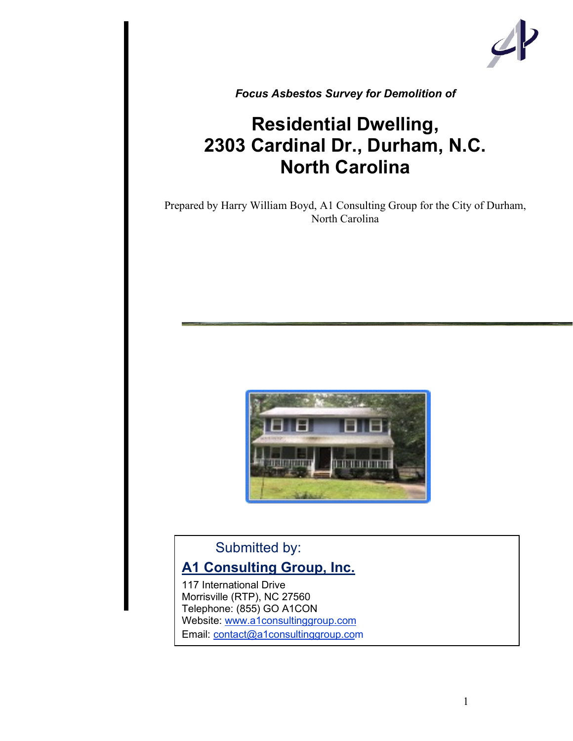

*Focus Asbestos Survey for Demolition of*

## **Residential Dwelling, 2303 Cardinal Dr., Durham, N.C. North Carolina**

Prepared by Harry William Boyd, A1 Consulting Group for the City of Durham, North Carolina



## Submitted by:

## **A1 Consulting Group, Inc.**

117 International Drive Morrisville (RTP), NC 27560 Telephone: (855) GO A1CON Website: www.a1consultinggroup.com Email: contact@a1consultinggroup.com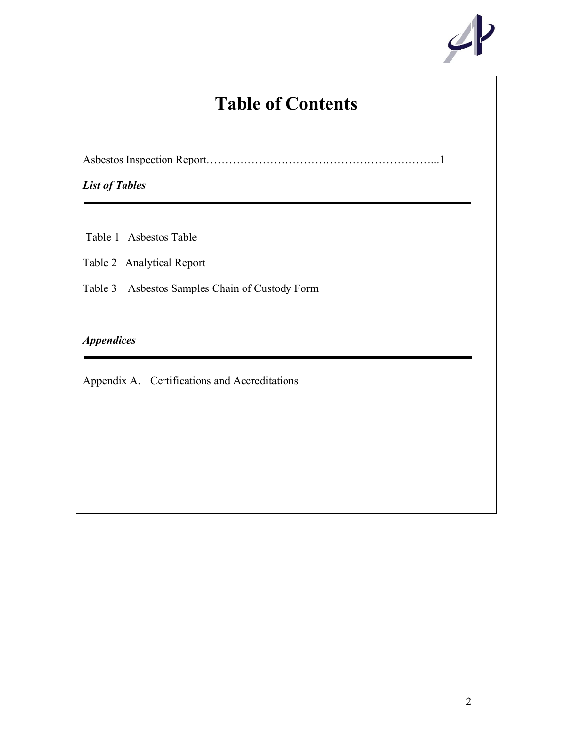

## **Table of Contents**

Asbestos Inspection Report……………………………………………………...1

*List of Tables*

Table 1 Asbestos Table

Table 2 Analytical Report

Table 3 Asbestos Samples Chain of Custody Form

## *Appendices*

Appendix A. Certifications and Accreditations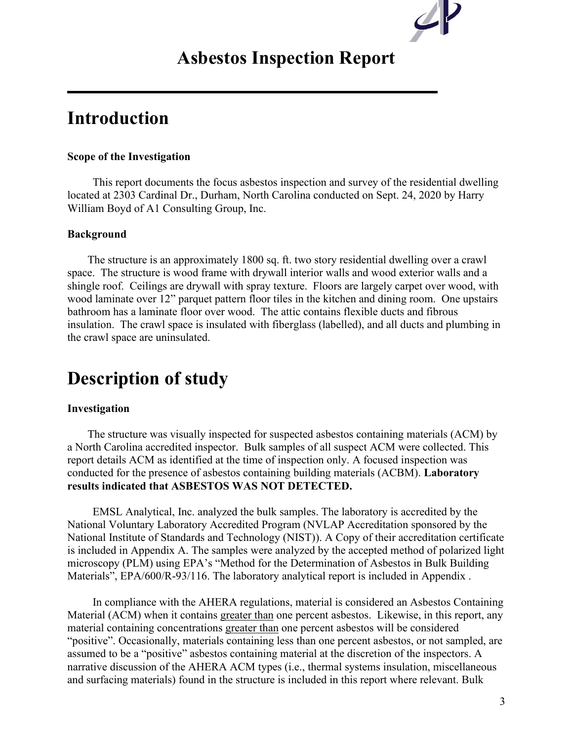# $\mathcal{L}$

## **Asbestos Inspection Report**

## **Introduction**

### **Scope of the Investigation**

 This report documents the focus asbestos inspection and survey of the residential dwelling located at 2303 Cardinal Dr., Durham, North Carolina conducted on Sept. 24, 2020 by Harry William Boyd of A1 Consulting Group, Inc.

### **Background**

 The structure is an approximately 1800 sq. ft. two story residential dwelling over a crawl space. The structure is wood frame with drywall interior walls and wood exterior walls and a shingle roof. Ceilings are drywall with spray texture. Floors are largely carpet over wood, with wood laminate over 12" parquet pattern floor tiles in the kitchen and dining room. One upstairs bathroom has a laminate floor over wood. The attic contains flexible ducts and fibrous insulation. The crawl space is insulated with fiberglass (labelled), and all ducts and plumbing in the crawl space are uninsulated.

## **Description of study**

### **Investigation**

 The structure was visually inspected for suspected asbestos containing materials (ACM) by a North Carolina accredited inspector. Bulk samples of all suspect ACM were collected. This report details ACM as identified at the time of inspection only. A focused inspection was conducted for the presence of asbestos containing building materials (ACBM). **Laboratory results indicated that ASBESTOS WAS NOT DETECTED.**

 EMSL Analytical, Inc. analyzed the bulk samples. The laboratory is accredited by the National Voluntary Laboratory Accredited Program (NVLAP Accreditation sponsored by the National Institute of Standards and Technology (NIST)). A Copy of their accreditation certificate is included in Appendix A. The samples were analyzed by the accepted method of polarized light microscopy (PLM) using EPA's "Method for the Determination of Asbestos in Bulk Building Materials", EPA/600/R-93/116. The laboratory analytical report is included in Appendix.

 In compliance with the AHERA regulations, material is considered an Asbestos Containing Material (ACM) when it contains greater than one percent asbestos. Likewise, in this report, any material containing concentrations greater than one percent asbestos will be considered "positive". Occasionally, materials containing less than one percent asbestos, or not sampled, are assumed to be a "positive" asbestos containing material at the discretion of the inspectors. A narrative discussion of the AHERA ACM types (i.e., thermal systems insulation, miscellaneous and surfacing materials) found in the structure is included in this report where relevant. Bulk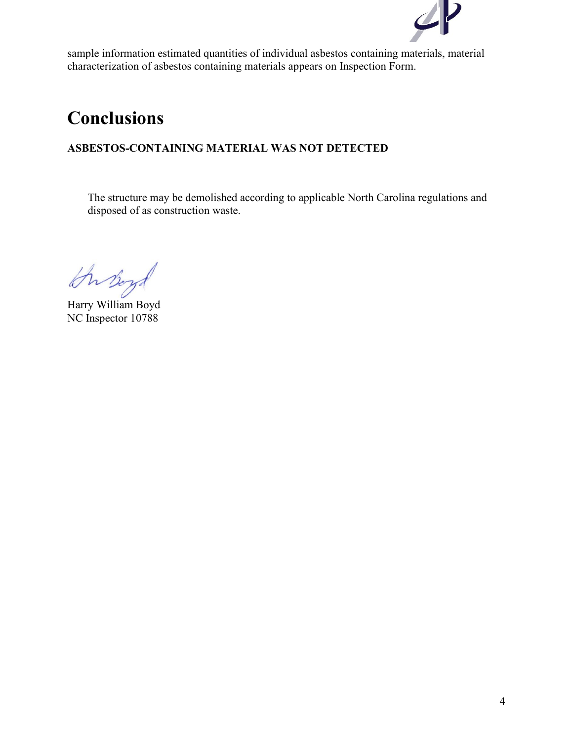

sample information estimated quantities of individual asbestos containing materials, material characterization of asbestos containing materials appears on Inspection Form.

## **Conclusions**

## **ASBESTOS-CONTAINING MATERIAL WAS NOT DETECTED**

The structure may be demolished according to applicable North Carolina regulations and disposed of as construction waste.

Harry William Boyd

NC Inspector 10788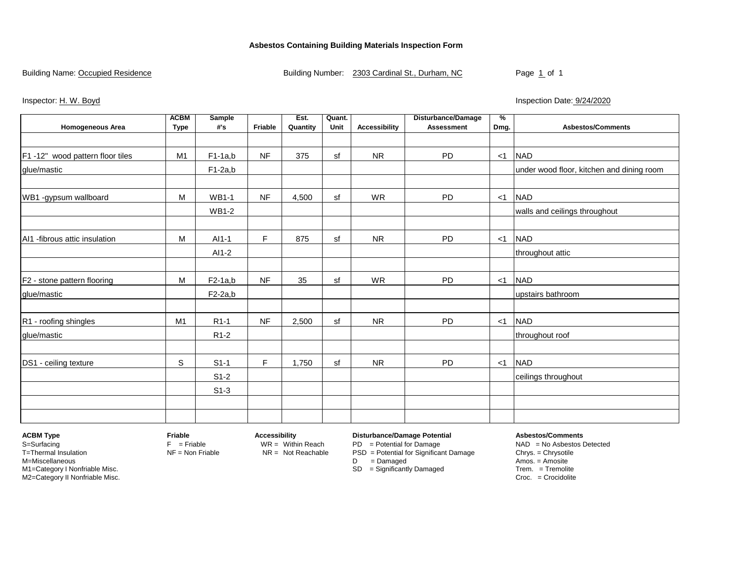### **Asbestos Containing Building Materials Inspection Form**

Building Name: Occupied Residence **Building Number:** 2303 Cardinal St., Durham, NC Page 1 of 1

Inspector: H. W. Boyd **Inspection Date:** 9/24/2020

|                                  | <b>ACBM</b>    | <b>Sample</b>     |           | Est.     | Quant. |                      | <b>Disturbance/Damage</b> | %     |                                           |
|----------------------------------|----------------|-------------------|-----------|----------|--------|----------------------|---------------------------|-------|-------------------------------------------|
| <b>Homogeneous Area</b>          | <b>Type</b>    | #'s               | Friable   | Quantity | Unit   | <b>Accessibility</b> | <b>Assessment</b>         | Dmg.  | <b>Asbestos/Comments</b>                  |
|                                  |                |                   |           |          |        |                      |                           |       |                                           |
| F1 -12" wood pattern floor tiles | M1             | $F1-1a,b$         | <b>NF</b> | 375      | sf     | <b>NR</b>            | <b>PD</b>                 | $<$ 1 | <b>NAD</b>                                |
| glue/mastic                      |                | $F1-2a,b$         |           |          |        |                      |                           |       | under wood floor, kitchen and dining room |
|                                  |                |                   |           |          |        |                      |                           |       |                                           |
| WB1 -gypsum wallboard            | M              | <b>WB1-1</b>      | <b>NF</b> | 4,500    | sf     | WR                   | PD                        | $<$ 1 | <b>NAD</b>                                |
|                                  |                | <b>WB1-2</b>      |           |          |        |                      |                           |       | walls and ceilings throughout             |
|                                  |                |                   |           |          |        |                      |                           |       |                                           |
| AI1 -fibrous attic insulation    | M              | AI1-1             | F.        | 875      | sf     | <b>NR</b>            | PD                        | $<$ 1 | <b>NAD</b>                                |
|                                  |                | AI1-2             |           |          |        |                      |                           |       | throughout attic                          |
|                                  |                |                   |           |          |        |                      |                           |       |                                           |
| F2 - stone pattern flooring      | M              | $F2-1a,b$         | NF        | 35       | sf     | <b>WR</b>            | PD                        | $<$ 1 | <b>NAD</b>                                |
| glue/mastic                      |                | $F2-2a,b$         |           |          |        |                      |                           |       | upstairs bathroom                         |
|                                  |                |                   |           |          |        |                      |                           |       |                                           |
| R1 - roofing shingles            | M <sub>1</sub> | R <sub>1</sub> -1 | NF        | 2,500    | sf     | <b>NR</b>            | <b>PD</b>                 | $<$ 1 | <b>NAD</b>                                |
| glue/mastic                      |                | R <sub>1</sub> -2 |           |          |        |                      |                           |       | throughout roof                           |
|                                  |                |                   |           |          |        |                      |                           |       |                                           |
| DS1 - ceiling texture            | S              | $S1-1$            | F.        | 1,750    | sf     | <b>NR</b>            | PD                        | $<$ 1 | <b>NAD</b>                                |
|                                  |                | $S1-2$            |           |          |        |                      |                           |       | ceilings throughout                       |
|                                  |                | $S1-3$            |           |          |        |                      |                           |       |                                           |
|                                  |                |                   |           |          |        |                      |                           |       |                                           |
|                                  |                |                   |           |          |        |                      |                           |       |                                           |

S=Surfacing The Surfacing F = Friable WR = Within Reach PD = Potential for Damage NAD = No Asbestos Detected T=Thermal Insulation **NF = Non Friable** NR = Not Reachable PSD = Potential for Significant Damage Chrys. = Chrysotile Chrys. = Chrysotile N=Miscellaneous Amos. = Amosite M1=Category I Nonfriable Misc. SD = Significantly Damaged Trem. = Tremolite SD = Significantly Damaged Trem. = Tremolite SD = Significantly Damaged Trem. = Tremolite SD = Significantly Damaged Trem. = Crocidolite SD = Croc M2=Category II Nonfriable Misc.

**ACBM Type Friable Accessibility Disturbance/Damage Potential Asbestos/Comments**

- 
- 
- 

D = Damaged Amos. = Amosite<br>
SD = Significantly Damaged Trem. = Tremolite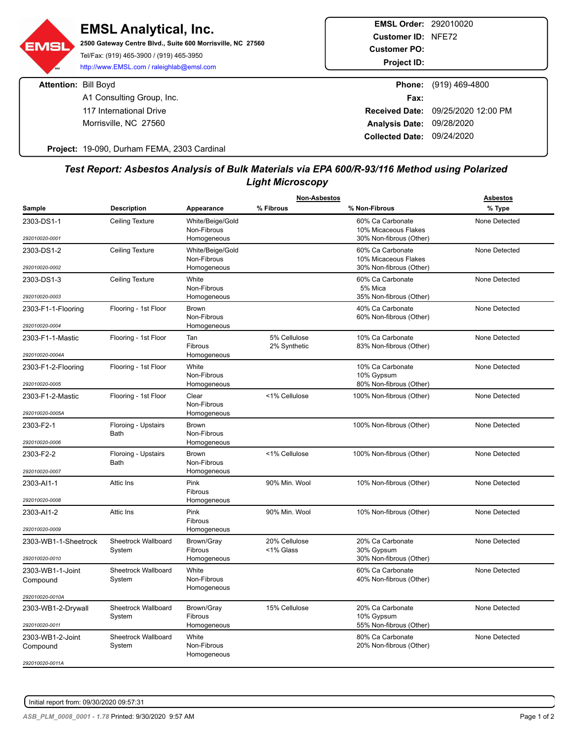**EMSL Order:** 292010020 **EMSL Analytical, Inc. Customer ID:** NFE72 **2500 Gateway Centre Blvd., Suite 600 Morrisville, NC 27560** EMSL **Customer PO:** Tel/Fax: (919) 465-3900 / (919) 465-3950 **Project ID:** http://www.EMSL.com / raleighlab@emsl.com **Attention:** Bill Boyd **Phone:** (919) 469-4800 A1 Consulting Group, Inc. **Fax:** Fax: 117 International Drive **Received Date:** 09/25/2020 12:00 PM Morrisville, NC 27560 **Analysis Date:** 09/28/2020 **Collected Date:** 09/24/2020

**Project:** 19-090, Durham FEMA, 2303 Cardinal

### *Test Report: Asbestos Analysis of Bulk Materials via EPA 600/R-93/116 Method using Polarized Light Microscopy*

|                      |                                    |                                 | <b>Non-Asbestos</b> |                                             | <b>Asbestos</b> |
|----------------------|------------------------------------|---------------------------------|---------------------|---------------------------------------------|-----------------|
| Sample               | <b>Description</b>                 | Appearance                      | % Fibrous           | % Non-Fibrous                               | % Type          |
| 2303-DS1-1           | <b>Ceiling Texture</b>             | White/Beige/Gold                |                     | 60% Ca Carbonate                            | None Detected   |
| 292010020-0001       |                                    | Non-Fibrous                     |                     | 10% Micaceous Flakes                        |                 |
|                      |                                    | Homogeneous                     |                     | 30% Non-fibrous (Other)<br>60% Ca Carbonate | None Detected   |
| 2303-DS1-2           | <b>Ceiling Texture</b>             | White/Beige/Gold<br>Non-Fibrous |                     | 10% Micaceous Flakes                        |                 |
| 292010020-0002       |                                    | Homogeneous                     |                     | 30% Non-fibrous (Other)                     |                 |
| 2303-DS1-3           | <b>Ceiling Texture</b>             | White                           |                     | 60% Ca Carbonate                            | None Detected   |
| 292010020-0003       |                                    | Non-Fibrous<br>Homogeneous      |                     | 5% Mica<br>35% Non-fibrous (Other)          |                 |
| 2303-F1-1-Flooring   | Flooring - 1st Floor               | <b>Brown</b>                    |                     | 40% Ca Carbonate                            | None Detected   |
|                      |                                    | Non-Fibrous                     |                     | 60% Non-fibrous (Other)                     |                 |
| 292010020-0004       |                                    | Homogeneous                     |                     |                                             |                 |
| 2303-F1-1-Mastic     | Flooring - 1st Floor               | Tan                             | 5% Cellulose        | 10% Ca Carbonate                            | None Detected   |
| 292010020-0004A      |                                    | Fibrous<br>Homogeneous          | 2% Synthetic        | 83% Non-fibrous (Other)                     |                 |
| 2303-F1-2-Flooring   | Flooring - 1st Floor               | White                           |                     | 10% Ca Carbonate                            | None Detected   |
|                      |                                    | Non-Fibrous                     |                     | 10% Gypsum                                  |                 |
| 292010020-0005       |                                    | Homogeneous                     |                     | 80% Non-fibrous (Other)                     |                 |
| 2303-F1-2-Mastic     | Flooring - 1st Floor               | Clear                           | <1% Cellulose       | 100% Non-fibrous (Other)                    | None Detected   |
| 292010020-0005A      |                                    | Non-Fibrous<br>Homogeneous      |                     |                                             |                 |
| 2303-F2-1            | Floroing - Upstairs                | <b>Brown</b>                    |                     | 100% Non-fibrous (Other)                    | None Detected   |
|                      | Bath                               | Non-Fibrous                     |                     |                                             |                 |
| 292010020-0006       |                                    | Homogeneous                     |                     |                                             |                 |
| 2303-F2-2            | Floroing - Upstairs<br><b>Bath</b> | Brown<br>Non-Fibrous            | <1% Cellulose       | 100% Non-fibrous (Other)                    | None Detected   |
| 292010020-0007       |                                    | Homogeneous                     |                     |                                             |                 |
| 2303-AI1-1           | Attic Ins                          | Pink                            | 90% Min. Wool       | 10% Non-fibrous (Other)                     | None Detected   |
|                      |                                    | Fibrous                         |                     |                                             |                 |
| 292010020-0008       |                                    | Homogeneous                     |                     |                                             |                 |
| 2303-AI1-2           | Attic Ins                          | Pink<br>Fibrous                 | 90% Min. Wool       | 10% Non-fibrous (Other)                     | None Detected   |
| 292010020-0009       |                                    | Homogeneous                     |                     |                                             |                 |
| 2303-WB1-1-Sheetrock | Sheetrock Wallboard                | Brown/Gray                      | 20% Cellulose       | 20% Ca Carbonate                            | None Detected   |
| 292010020-0010       | System                             | Fibrous<br>Homogeneous          | <1% Glass           | 30% Gypsum<br>30% Non-fibrous (Other)       |                 |
| 2303-WB1-1-Joint     | Sheetrock Wallboard                | White                           |                     | 60% Ca Carbonate                            | None Detected   |
| Compound             | System                             | Non-Fibrous                     |                     | 40% Non-fibrous (Other)                     |                 |
|                      |                                    | Homogeneous                     |                     |                                             |                 |
| 292010020-0010A      |                                    |                                 |                     |                                             |                 |
| 2303-WB1-2-Drywall   | Sheetrock Wallboard<br>System      | Brown/Gray<br>Fibrous           | 15% Cellulose       | 20% Ca Carbonate<br>10% Gypsum              | None Detected   |
| 292010020-0011       |                                    | Homogeneous                     |                     | 55% Non-fibrous (Other)                     |                 |
| 2303-WB1-2-Joint     | <b>Sheetrock Wallboard</b>         | White                           |                     | 80% Ca Carbonate                            | None Detected   |
| Compound             | System                             | Non-Fibrous<br>Homogeneous      |                     | 20% Non-fibrous (Other)                     |                 |
| 292010020-0011A      |                                    |                                 |                     |                                             |                 |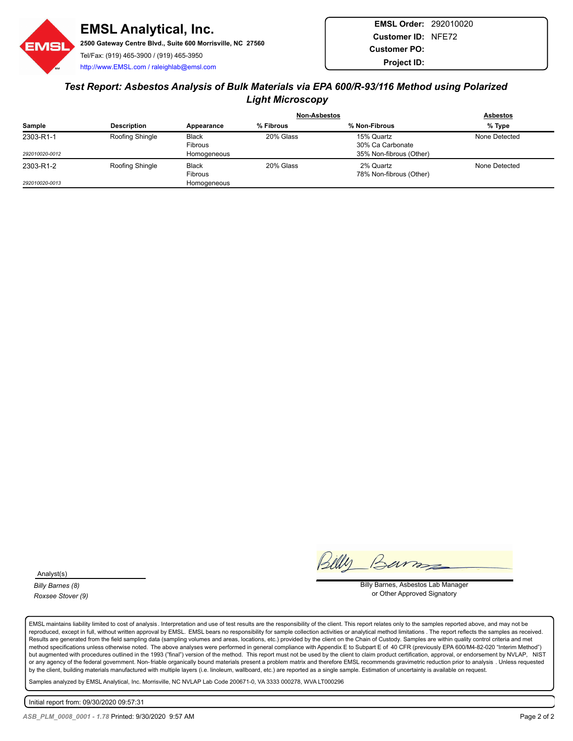

## *Test Report: Asbestos Analysis of Bulk Materials via EPA 600/R-93/116 Method using Polarized Light Microscopy*

|                |                    |              | <b>Non-Asbestos</b> |                         | <b>Asbestos</b> |
|----------------|--------------------|--------------|---------------------|-------------------------|-----------------|
| Sample         | <b>Description</b> | Appearance   | % Fibrous           | % Non-Fibrous           | % Type          |
| 2303-R1-1      | Roofing Shingle    | <b>Black</b> | 20% Glass           | 15% Quartz              | None Detected   |
|                |                    | Fibrous      |                     | 30% Ca Carbonate        |                 |
| 292010020-0012 |                    | Homogeneous  |                     | 35% Non-fibrous (Other) |                 |
| 2303-R1-2      | Roofing Shingle    | <b>Black</b> | 20% Glass           | 2% Quartz               | None Detected   |
|                |                    | Fibrous      |                     | 78% Non-fibrous (Other) |                 |
| 292010020-0013 |                    | Homogeneous  |                     |                         |                 |

Analyst(s)

*Billy Barnes (8) Roxsee Stover (9)*

Barro

Billy Barnes, Asbestos Lab Manager or Other Approved Signatory

EMSL maintains liability limited to cost of analysis. Interpretation and use of test results are the responsibility of the client. This report relates only to the samples reported above, and may not be reproduced, except in full, without written approval by EMSL. EMSL bears no responsibility for sample collection activities or analytical method limitations . The report reflects the samples as received. Results are generated from the field sampling data (sampling volumes and areas, locations, etc.) provided by the client on the Chain of Custody. Samples are within quality control criteria and met method specifications unless otherwise noted. The above analyses were performed in general compliance with Appendix E to Subpart E of 40 CFR (previously EPA 600/M4-82-020 "Interim Method") but augmented with procedures outlined in the 1993 ("final") version of the method. This report must not be used by the client to claim product certification, approval, or endorsement by NVLAP, NIST or any agency of the federal government. Non-friable organically bound materials present a problem matrix and therefore EMSL recommends gravimetric reduction prior to analysis . Unless requested by the client, building materials manufactured with multiple layers (i.e. linoleum, wallboard, etc.) are reported as a single sample. Estimation of uncertainty is available on request.

Samples analyzed by EMSL Analytical, Inc. Morrisville, NC NVLAP Lab Code 200671-0, VA 3333 000278, WVA LT000296

Initial report from: 09/30/2020 09:57:31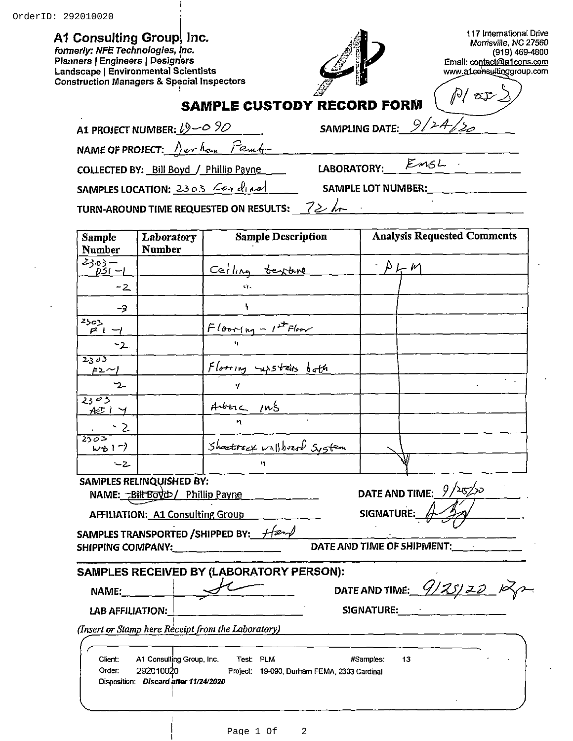### A1 Consulting Group, Inc.

formerly: NFE Technologies, Inc. Planners | Engineers | Designers Landscape | Environmental Scientists **Construction Managers & Special Inspectors** 



LABORATORY:

117 International Drive Morrisville, NC 27560 (919) 469-4800 Email: contact@a1cons.com<br>www.a1consultinggroup.com

Œ

|  | <b>SAMPLE CUSTODY RECORD FORM</b> |  |  |
|--|-----------------------------------|--|--|
|--|-----------------------------------|--|--|

|  | A1 PROJECT NUMBER: $19 - 0.90$ |  |  |
|--|--------------------------------|--|--|
|  |                                |  |  |

9. **SAMPLING DATE:** 

Fem NAME OF PROJECT: 1) er han

COLLECTED BY: Bill Boyd / Phillip Payne

 $EmSL$ 

SAMPLES LOCATION: 2303 Cardinal

**SAMPLE LOT NUMBER:** 

 $72$  hr TURN-AROUND TIME REQUESTED ON RESULTS:

| <b>Sample</b><br><b>Number</b>             | Laboratory<br><b>Number</b>                                                     | <b>Sample Description</b>                                                     | <b>Analysis Requested Comments</b> |
|--------------------------------------------|---------------------------------------------------------------------------------|-------------------------------------------------------------------------------|------------------------------------|
| $2303 -$<br>$DSI - I$                      |                                                                                 | Cerling texture                                                               | $\Delta \rho$                      |
| -2                                         |                                                                                 |                                                                               |                                    |
| -3                                         |                                                                                 | ۱.                                                                            |                                    |
| 2503<br>$P_1 -$                            |                                                                                 | $F_{\text{lower}+1} - 1^{st}$ Floor                                           |                                    |
| $-2$                                       |                                                                                 | ٠,                                                                            |                                    |
| 2305<br>$F2\sim$                           |                                                                                 | Flooring curstairs bath                                                       |                                    |
| ーン                                         |                                                                                 | Ч.                                                                            |                                    |
| 2303<br>他一                                 |                                                                                 | Auberc Ins                                                                    |                                    |
|                                            |                                                                                 |                                                                               |                                    |
| ফ্ৰত্ৰহ<br>$w_{\mathcal{D}}$ $\rightarrow$ |                                                                                 | Shootisex wallboard System                                                    |                                    |
| $-2$                                       |                                                                                 |                                                                               |                                    |
|                                            | <b>SAMPLES RELINQUISHED BY:</b><br>NAME: - Bill Boyd>/ Phillip Payne            |                                                                               | DATE AND TIME: $9/25/20$           |
|                                            | <b>AFFILIATION: A1 Consulting Group</b>                                         |                                                                               | SIGNATURE: $\mathbb{A}$            |
|                                            |                                                                                 | SAMPLES TRANSPORTED / SHIPPED BY: Hand<br>SHIPPING COMPANY: _________________ | DATE AND TIME OF SHIPMENT:         |
|                                            |                                                                                 | SAMPLES RECEIVED BY (LABORATORY PERSON):                                      |                                    |
| NAME: _____                                |                                                                                 |                                                                               | DATE AND TIME: $9/25/20$ $-10$     |
| LAB AFFILIATION:                           |                                                                                 |                                                                               | SIGNATURE: SIGNATURE:              |
|                                            |                                                                                 | (Insert or Stamp here Receipt from the Laboratory)                            |                                    |
| Client:<br>Order:                          | A1 Consulting Group, Inc.<br>292010020<br>Disposition: Discard after 11/24/2020 | Test: PLM<br>Project: 19-090, Durham FEMA, 2303 Cardinal                      | 13<br>#Samples:                    |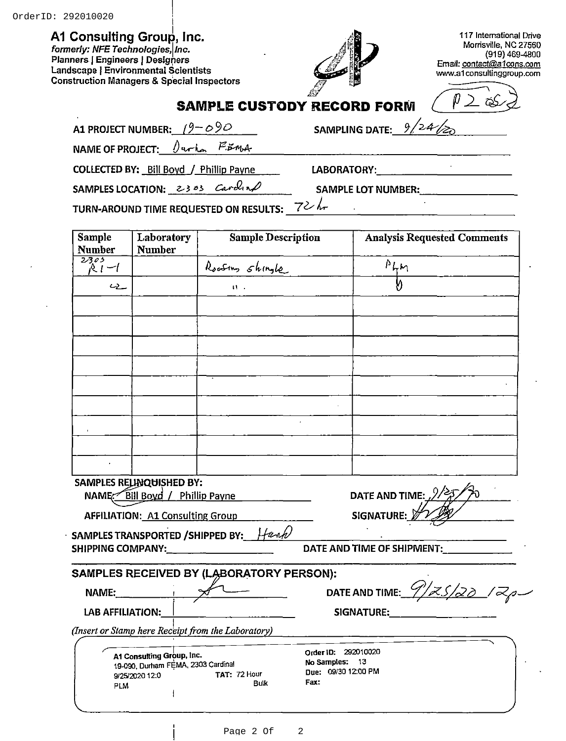## A1 Consulting Group, Inc.

formerly: NFE Technologies, Inc. Planners | Engineers | Designers Landscape | Environmental Scientists **Construction Managers & Special Inspectors** 



117 International Drive Morrisville, NC 27560 (919) 469-4800 Email: contact@a1cons.com www.a1consultinggroup.com

| <b>SAMPLE CUSTODY RECORD FORM</b> |  |  |  |  |
|-----------------------------------|--|--|--|--|
|-----------------------------------|--|--|--|--|

| A1 PROJECT NUMBER: $(9 - 09)$ |  |
|-------------------------------|--|
|-------------------------------|--|

9 **SAMPLING DATE:** 

 $^{\prime}$ z4

**NAME OF PROJECT:**  $E_{m+}$  $\theta$  arrow **COLLECTED BY: Bill Boyd / Phillip Payne** 

LABORATORY:

SAMPLES LOCATION: 2303 Carolina

**SAMPLE LOT NUMBER:** 

 $\mathcal{L}^{\mathcal{L}}$ 

TURN-AROUND TIME REQUESTED ON RESULTS:  $72$ 

| <b>Sample</b><br><b>Number</b> | Laboratory<br><b>Number</b>                                     | <b>Sample Description</b>                          | <b>Analysis Requested Comments</b>    |
|--------------------------------|-----------------------------------------------------------------|----------------------------------------------------|---------------------------------------|
| 2305                           |                                                                 |                                                    |                                       |
| $R_1-1$                        |                                                                 | Roofins shingle                                    | $\frac{\rho_{\mu\mu}}{ }$             |
| ے دے                           |                                                                 | $\mathbf{U}$                                       |                                       |
|                                |                                                                 |                                                    |                                       |
|                                |                                                                 |                                                    |                                       |
|                                |                                                                 |                                                    |                                       |
|                                |                                                                 |                                                    |                                       |
|                                |                                                                 |                                                    |                                       |
|                                |                                                                 |                                                    |                                       |
|                                |                                                                 |                                                    |                                       |
|                                |                                                                 |                                                    |                                       |
|                                |                                                                 |                                                    |                                       |
|                                | SAMPLES RELINQUISHED BY:                                        |                                                    |                                       |
|                                | NAME Bill Boyd / Phillip Payne                                  | and the state of the state.                        | DATE AND TIME: $\frac{2}{4}$          |
|                                | <b>AFFILIATION: A1 Consulting Group</b>                         |                                                    | SIGNATURE: 2                          |
|                                |                                                                 | SAMPLES TRANSPORTED / SHIPPED BY: Hann             |                                       |
|                                |                                                                 |                                                    | DATE AND TIME OF SHIPMENT:___________ |
|                                |                                                                 | SAMPLES RECEIVED BY (LABORATORY PERSON):           |                                       |
|                                | NAME: $\sqrt{1}$                                                |                                                    | DATE AND TIME: $9/75/20$ / $7$        |
| LAB AFFILIATION:               |                                                                 |                                                    | SIGNATURE:                            |
|                                |                                                                 | (Insert or Stamp here Receipt from the Laboratory) |                                       |
|                                |                                                                 |                                                    |                                       |
|                                | A1 Consulting Group, Inc.<br>19-090, Durham FEMA, 2303 Cardinal |                                                    | Order ID: 292010020<br>No Samples: 13 |
|                                | 9/25/2020 12:0                                                  | TAT: 72 Hour                                       | Due: 09/30 12:00 PM                   |
| <b>PLM</b>                     |                                                                 | <b>Bulk</b>                                        | Fax:                                  |
|                                |                                                                 |                                                    |                                       |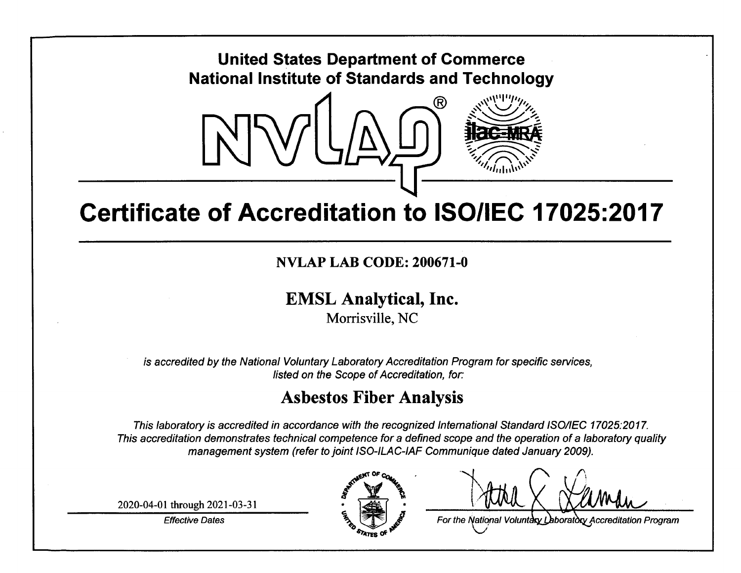

## **Certificate of Accreditation to ISO/IEC 17025:2017**

NVLAP LAB CODE: 200671-0

## **EMSL Analytical, Inc.**

Morrisville, NC

is accredited by the National Voluntary Laboratory Accreditation Program for specific services, listed on the Scope of Accreditation, for:

## **Asbestos Fiber Analysis**

This laboratory is accredited in accordance with the recognized International Standard ISO/IEC 17025:2017. This accreditation demonstrates technical competence for a defined scope and the operation of a laboratory quality management system (refer to joint ISO-ILAC-IAF Communique dated January 2009).

2020-04-01 through 2021-03-31

**Effective Dates** 



For the National Voluntary Laboratory Accreditation Program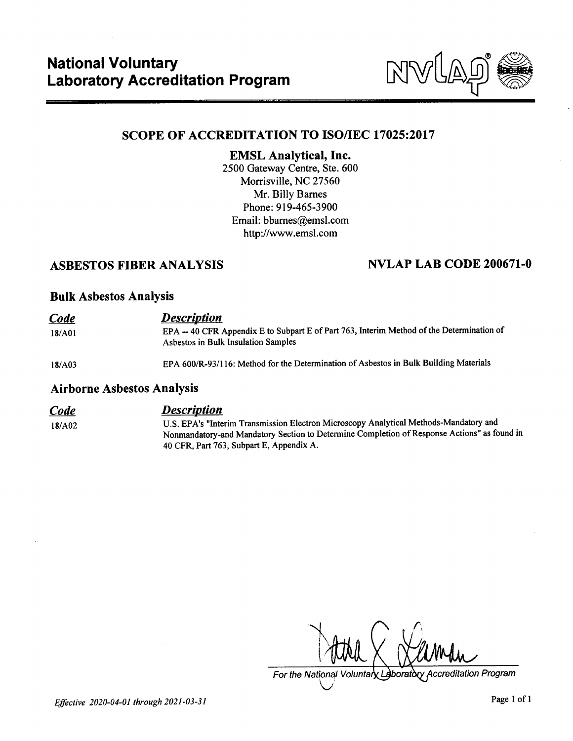

## **SCOPE OF ACCREDITATION TO ISO/IEC 17025:2017**

## **EMSL Analytical, Inc.**

2500 Gateway Centre, Ste. 600 Morrisville, NC 27560 Mr. Billy Barnes Phone: 919-465-3900 Email: bbarnes@emsl.com http://www.emsl.com

## **ASBESTOS FIBER ANALYSIS**

## **NVLAP LAB CODE 200671-0**

### **Bulk Asbestos Analysis**

| Code   | <b>Description</b>                                                                                                               |
|--------|----------------------------------------------------------------------------------------------------------------------------------|
| 18/A01 | EPA -- 40 CFR Appendix E to Subpart E of Part 763, Interim Method of the Determination of<br>Asbestos in Bulk Insulation Samples |
| 18/A03 | EPA 600/R-93/116: Method for the Determination of Asbestos in Bulk Building Materials                                            |

### **Airborne Asbestos Analysis**

### **Description Code**

18/A02

U.S. EPA's "Interim Transmission Electron Microscopy Analytical Methods-Mandatory and Nonmandatory-and Mandatory Section to Determine Completion of Response Actions" as found in 40 CFR, Part 763, Subpart E, Appendix A.

For the National Voluntary Laboratory Accreditation Program